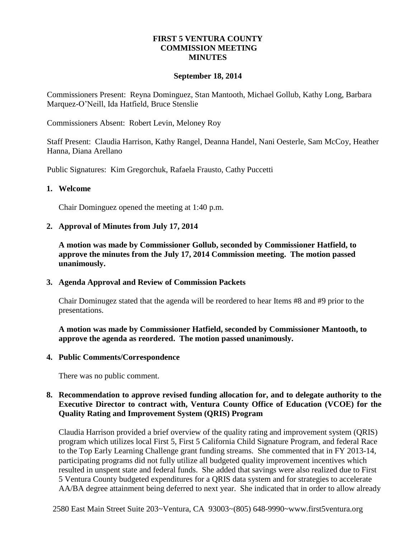## **FIRST 5 VENTURA COUNTY COMMISSION MEETING MINUTES**

### **September 18, 2014**

Commissioners Present: Reyna Dominguez, Stan Mantooth, Michael Gollub, Kathy Long, Barbara Marquez-O'Neill, Ida Hatfield, Bruce Stenslie

Commissioners Absent: Robert Levin, Meloney Roy

Staff Present: Claudia Harrison, Kathy Rangel, Deanna Handel, Nani Oesterle, Sam McCoy, Heather Hanna, Diana Arellano

Public Signatures: Kim Gregorchuk, Rafaela Frausto, Cathy Puccetti

#### **1. Welcome**

Chair Dominguez opened the meeting at 1:40 p.m.

#### **2. Approval of Minutes from July 17, 2014**

**A motion was made by Commissioner Gollub, seconded by Commissioner Hatfield, to approve the minutes from the July 17, 2014 Commission meeting. The motion passed unanimously.**

### **3. Agenda Approval and Review of Commission Packets**

Chair Dominugez stated that the agenda will be reordered to hear Items #8 and #9 prior to the presentations.

**A motion was made by Commissioner Hatfield, seconded by Commissioner Mantooth, to approve the agenda as reordered. The motion passed unanimously.**

#### **4. Public Comments/Correspondence**

There was no public comment.

## **8. Recommendation to approve revised funding allocation for, and to delegate authority to the Executive Director to contract with, Ventura County Office of Education (VCOE) for the Quality Rating and Improvement System (QRIS) Program**

Claudia Harrison provided a brief overview of the quality rating and improvement system (QRIS) program which utilizes local First 5, First 5 California Child Signature Program, and federal Race to the Top Early Learning Challenge grant funding streams. She commented that in FY 2013-14, participating programs did not fully utilize all budgeted quality improvement incentives which resulted in unspent state and federal funds. She added that savings were also realized due to First 5 Ventura County budgeted expenditures for a QRIS data system and for strategies to accelerate AA/BA degree attainment being deferred to next year. She indicated that in order to allow already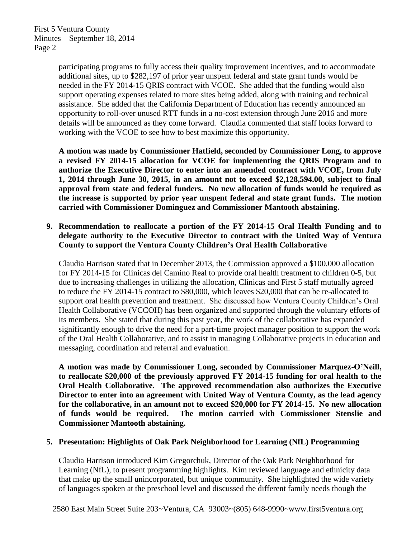First 5 Ventura County Minutes – September 18, 2014 Page 2

> participating programs to fully access their quality improvement incentives, and to accommodate additional sites, up to \$282,197 of prior year unspent federal and state grant funds would be needed in the FY 2014-15 QRIS contract with VCOE. She added that the funding would also support operating expenses related to more sites being added, along with training and technical assistance. She added that the California Department of Education has recently announced an opportunity to roll-over unused RTT funds in a no-cost extension through June 2016 and more details will be announced as they come forward. Claudia commented that staff looks forward to working with the VCOE to see how to best maximize this opportunity.

**A motion was made by Commissioner Hatfield, seconded by Commissioner Long, to approve a revised FY 2014-15 allocation for VCOE for implementing the QRIS Program and to authorize the Executive Director to enter into an amended contract with VCOE, from July 1, 2014 through June 30, 2015, in an amount not to exceed \$2,128,594.00, subject to final approval from state and federal funders. No new allocation of funds would be required as the increase is supported by prior year unspent federal and state grant funds. The motion carried with Commissioner Dominguez and Commissioner Mantooth abstaining.**

## **9. Recommendation to reallocate a portion of the FY 2014-15 Oral Health Funding and to delegate authority to the Executive Director to contract with the United Way of Ventura County to support the Ventura County Children's Oral Health Collaborative**

Claudia Harrison stated that in December 2013, the Commission approved a \$100,000 allocation for FY 2014-15 for Clinicas del Camino Real to provide oral health treatment to children 0-5, but due to increasing challenges in utilizing the allocation, Clinicas and First 5 staff mutually agreed to reduce the FY 2014-15 contract to \$80,000, which leaves \$20,000 that can be re-allocated to support oral health prevention and treatment. She discussed how Ventura County Children's Oral Health Collaborative (VCCOH) has been organized and supported through the voluntary efforts of its members. She stated that during this past year, the work of the collaborative has expanded significantly enough to drive the need for a part-time project manager position to support the work of the Oral Health Collaborative, and to assist in managing Collaborative projects in education and messaging, coordination and referral and evaluation.

**A motion was made by Commissioner Long, seconded by Commissioner Marquez-O'Neill, to reallocate \$20,000 of the previously approved FY 2014-15 funding for oral health to the Oral Health Collaborative. The approved recommendation also authorizes the Executive Director to enter into an agreement with United Way of Ventura County, as the lead agency for the collaborative, in an amount not to exceed \$20,000 for FY 2014-15. No new allocation of funds would be required. The motion carried with Commissioner Stenslie and Commissioner Mantooth abstaining.**

### **5. Presentation: Highlights of Oak Park Neighborhood for Learning (NfL) Programming**

Claudia Harrison introduced Kim Gregorchuk, Director of the Oak Park Neighborhood for Learning (NfL), to present programming highlights. Kim reviewed language and ethnicity data that make up the small unincorporated, but unique community. She highlighted the wide variety of languages spoken at the preschool level and discussed the different family needs though the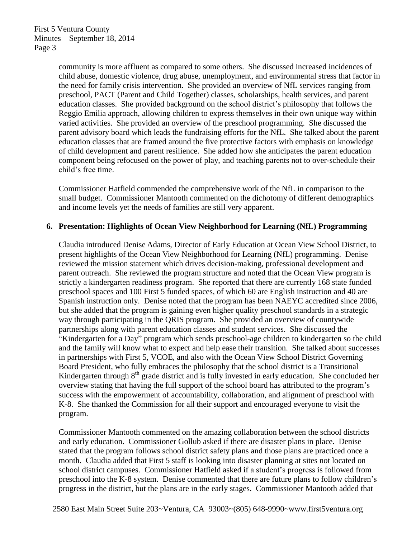community is more affluent as compared to some others. She discussed increased incidences of child abuse, domestic violence, drug abuse, unemployment, and environmental stress that factor in the need for family crisis intervention. She provided an overview of NfL services ranging from preschool, PACT (Parent and Child Together) classes, scholarships, health services, and parent education classes. She provided background on the school district's philosophy that follows the Reggio Emilia approach, allowing children to express themselves in their own unique way within varied activities. She provided an overview of the preschool programming. She discussed the parent advisory board which leads the fundraising efforts for the NfL. She talked about the parent education classes that are framed around the five protective factors with emphasis on knowledge of child development and parent resilience. She added how she anticipates the parent education component being refocused on the power of play, and teaching parents not to over-schedule their child's free time.

Commissioner Hatfield commended the comprehensive work of the NfL in comparison to the small budget. Commissioner Mantooth commented on the dichotomy of different demographics and income levels yet the needs of families are still very apparent.

### **6. Presentation: Highlights of Ocean View Neighborhood for Learning (NfL) Programming**

Claudia introduced Denise Adams, Director of Early Education at Ocean View School District, to present highlights of the Ocean View Neighborhood for Learning (NfL) programming. Denise reviewed the mission statement which drives decision-making, professional development and parent outreach. She reviewed the program structure and noted that the Ocean View program is strictly a kindergarten readiness program. She reported that there are currently 168 state funded preschool spaces and 100 First 5 funded spaces, of which 60 are English instruction and 40 are Spanish instruction only. Denise noted that the program has been NAEYC accredited since 2006, but she added that the program is gaining even higher quality preschool standards in a strategic way through participating in the QRIS program. She provided an overview of countywide partnerships along with parent education classes and student services. She discussed the "Kindergarten for a Day" program which sends preschool-age children to kindergarten so the child and the family will know what to expect and help ease their transition. She talked about successes in partnerships with First 5, VCOE, and also with the Ocean View School District Governing Board President, who fully embraces the philosophy that the school district is a Transitional Kindergarten through  $8<sup>th</sup>$  grade district and is fully invested in early education. She concluded her overview stating that having the full support of the school board has attributed to the program's success with the empowerment of accountability, collaboration, and alignment of preschool with K-8. She thanked the Commission for all their support and encouraged everyone to visit the program.

Commissioner Mantooth commented on the amazing collaboration between the school districts and early education. Commissioner Gollub asked if there are disaster plans in place. Denise stated that the program follows school district safety plans and those plans are practiced once a month. Claudia added that First 5 staff is looking into disaster planning at sites not located on school district campuses. Commissioner Hatfield asked if a student's progress is followed from preschool into the K-8 system. Denise commented that there are future plans to follow children's progress in the district, but the plans are in the early stages. Commissioner Mantooth added that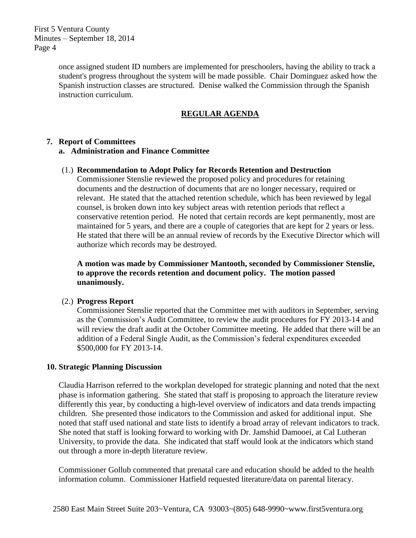First 5 Ventura County Minutes – September 18, 2014 Page 4

> once assigned student ID numbers are implemented for preschoolers, having the ability to track a student's progress throughout the system will be made possible. Chair Dominguez asked how the Spanish instruction classes are structured. Denise walked the Commission through the Spanish instruction curriculum.

# **REGULAR AGENDA**

## **7. Report of Committees**

## **a. Administration and Finance Committee**

## (1.) **Recommendation to Adopt Policy for Records Retention and Destruction**

Commissioner Stenslie reviewed the proposed policy and procedures for retaining documents and the destruction of documents that are no longer necessary, required or relevant. He stated that the attached retention schedule, which has been reviewed by legal counsel, is broken down into key subject areas with retention periods that reflect a conservative retention period. He noted that certain records are kept permanently, most are maintained for 5 years, and there are a couple of categories that are kept for 2 years or less. He stated that there will be an annual review of records by the Executive Director which will authorize which records may be destroyed.

## **A motion was made by Commissioner Mantooth, seconded by Commissioner Stenslie, to approve the records retention and document policy. The motion passed unanimously.**

## (2.) **Progress Report**

Commissioner Stenslie reported that the Committee met with auditors in September, serving as the Commission's Audit Committee, to review the audit procedures for FY 2013-14 and will review the draft audit at the October Committee meeting. He added that there will be an addition of a Federal Single Audit, as the Commission's federal expenditures exceeded \$500,000 for FY 2013-14.

### **10. Strategic Planning Discussion**

Claudia Harrison referred to the workplan developed for strategic planning and noted that the next phase is information gathering. She stated that staff is proposing to approach the literature review differently this year, by conducting a high-level overview of indicators and data trends impacting children. She presented those indicators to the Commission and asked for additional input. She noted that staff used national and state lists to identify a broad array of relevant indicators to track. She noted that staff is looking forward to working with Dr. Jamshid Damooei, at Cal Lutheran University, to provide the data. She indicated that staff would look at the indicators which stand out through a more in-depth literature review.

Commissioner Gollub commented that prenatal care and education should be added to the health information column. Commissioner Hatfield requested literature/data on parental literacy.